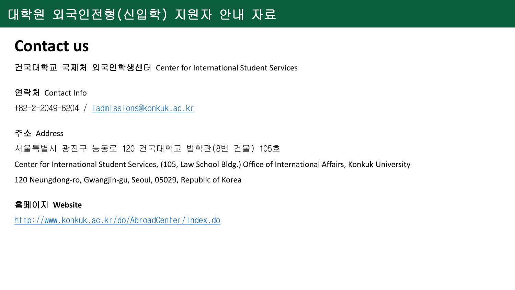# 대학원 외국인전형(신입학) 지원자 안내 자료

# **Contact us**

건국대학교 국제처 외국인학생센터 Center for International Student Services

연락처 Contact Info

+82-2-2049-6204 / [iadmissions@konkuk.ac.kr](mailto:iadmissions@konkuk.ac.kr)

주소 Address

서울특별시 광진구 능동로 120 건국대학교 법학관(8번 건물) 105호

Center for International Student Services, (105, Law School Bldg.) Office of International Affairs, Konkuk University

120 Neungdong-ro, Gwangjin-gu, Seoul, 05029, Republic of Korea

홈페이지 **Website**

<http://www.konkuk.ac.kr/do/AbroadCenter/Index.do>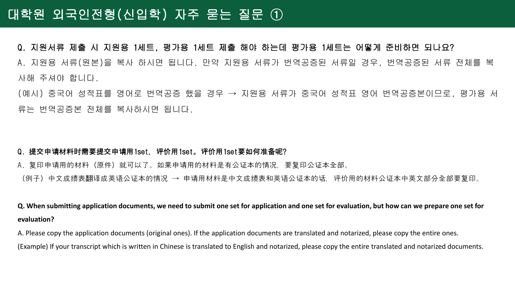## 대학원 외국인전형(신입학) 자주 묻는 질문 ①

#### Q. 지원서류 제출 시 지원용 1세트, 평가용 1세트 제출 해야 하는데 평가용 1세트는 어떻게 준비하면 되나요?

A. 지원용 서류(원본)을 복사 하시면 됩니다. 만약 지원용 서류가 번역공증된 서류일 경우, 번역공증된 서류 전체를 복 사해 주셔야 합니다.

(예시) 중국어 성적표를 영어로 번역공증 했을 경우 → 지원용 서류가 중국어 성적표 영어 번역공증본이므로, 평가용 서 류는 번역공증본 전체를 복사하시면 됩니다.

#### Q.提交申请材料时需要提交申请用1set,评价用1set。评价用1set要如何准备呢?

A. 复印申请用的材料(原件)就可以了。如果申请用的材料是有公证本的情况,要复印公证本全部。 (例子) 中文成绩表翻译成英语公证本的情况 → 申请用材料是中文成绩表和英语公证本的话, 评价用的材料公证本中英文部分全部要复印。

**Q. When submitting application documents, we need to submit one set for application and one set for evaluation, but how can we prepare one set for evaluation?**

A. Please copy the application documents (original ones). If the application documents are translated and notarized, please copy the entire ones. (Example) If your transcript which is written in Chinese is translated to English and notarized, please copy the entire translated and notarized documents.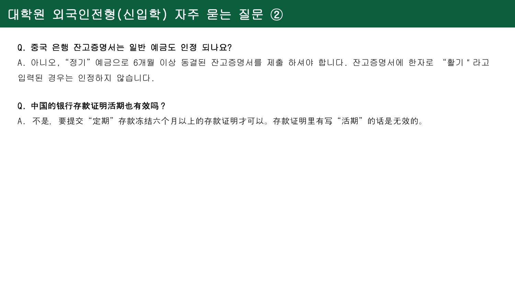### Q. 중국 은행 잔고증명서는 일반 예금도 인정 되나요?

A. 아니오,"정기"예금으로 6개월 이상 동결된 잔고증명서를 제출 하셔야 합니다. 잔고증명서에 한자로 "활기 "라고 입력된 경우는 인정하지 않습니다.

#### Q. 中国的银行存款证明活期也有效吗?

A. 不是,要提交"定期"存款冻结六个月以上的存款证明才可以。存款证明里有写"活期"的话是无效的。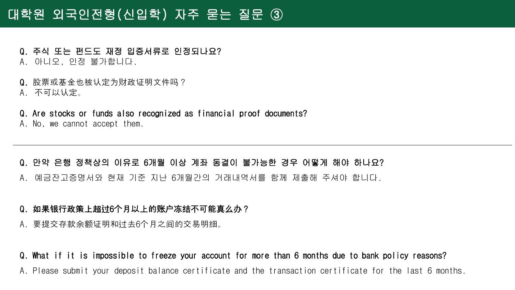# 대학원 외국인전형(신입학) 자주 묻는 질문 ③

- Q. 주식 또는 펀드도 재정 입증서류로 인정되나요? A. 아니오, 인정 불가합니다.
- Q. 股票或基金也被认定为财政证明文件吗?
- A. 不可以认定。
- Q. Are stocks or funds also recognized as financial proof documents? A. No, we cannot accept them.

#### Q. 만약 은행 정책상의 이유로 6개월 이상 계좌 동결이 불가능한 경우 어떻게 해야 하나요?

- A. 예금잔고증명서와 현재 기준 지난 6개월간의 거래내역서를 함께 제출해 주셔야 합니다.
- Q. 如果银行政策上超过6个月以上的账户冻结不可能真么办?
- A. 要提交存款余额证明和过去6个月之间的交易明细。
- Q. What if it is impossible to freeze your account for more than 6 months due to bank policy reasons?
- A. Please submit your deposit balance certificate and the transaction certificate for the last 6 months.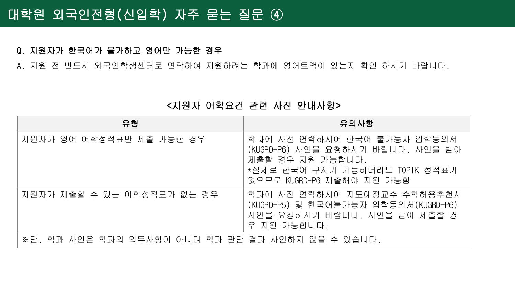#### Q. 지원자가 한국어가 불가하고 영어만 가능한 경우

A. 지원 전 반드시 외국인학생센터로 연락하여 지원하려는 학과에 영어트랙이 있는지 확인 하시기 바랍니다.

### <지원자 어학요건 관련 사전 안내사항>

| 유형                                                | 유의사항                                                                                                                                                |
|---------------------------------------------------|-----------------------------------------------------------------------------------------------------------------------------------------------------|
| 지원자가 영어 어학성적표만 제출 가능한 경우                          | 학과에 사전 연락하시어 한국어 불가능자 입학동의서<br>(KUGRD-P6) 사인을 요청하시기 바랍니다. 사인을 받아<br>제출할 경우 지원 가능합니다.<br>*실제로 한국어 구사가 가능하더라도 TOPIK 성적표가<br>없으므로 KUGRD-P6 제출해야 지원 가능함 |
| 지원자가 제출할 수 있는 어학성적표가 없는 경우                        | 학과에 사전 연락하시어 지도예정교수 수학허용추천서<br>(KUGRD-P5) 및 한국어불가능자 입학동의서(KUGRD-P6)<br>사인을 요청하시기 바랍니다. 사인을 받아 제출할 경<br>우 지원 가능합니다.                                  |
| ※단. 학과 사인은 학과의 의무사항이 아니며 학과 판단 결과 사인하지 않을 수 있습니다. |                                                                                                                                                     |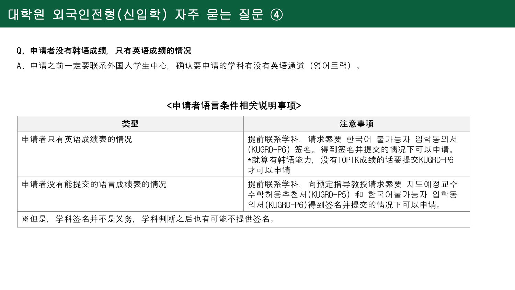## 대학원 외국인전형(신입학) 자주 묻는 질문 ④

#### Q. 申请者没有韩语成绩,只有英语成绩的情况

A. 申请之前一定要联系外国人学生中心, 确认要申请的学科有没有英语通道 (영어트랙)。

#### <申请者语言条件相关说明事项>

| 类型                             | 注意事项                                                                                                      |
|--------------------------------|-----------------------------------------------------------------------------------------------------------|
| 申请者只有英语成绩表的情况                  | 提前联系学科, 请求索要 한국어 불가능자 입학동의서<br>(KUGRD-P6) 签名。得到签名并提交的情况下可以申请。<br>*就算有韩语能力,没有TOPIK成绩的话要提交KUGRD-P6<br>才可以申请 |
| 申请者没有能提交的语言成绩表的情况              | 提前联系学科,向预定指导教授请求索要 지도예정교수<br>수학허용추천서(KUGRD-P5) 和 한국어불가능자 입학동<br>의서(KUGRD-P6)得到签名并提交的情况下可以申请。              |
| ※但是,学科签名并不是义务,学科判断之后也有可能不提供签名。 |                                                                                                           |